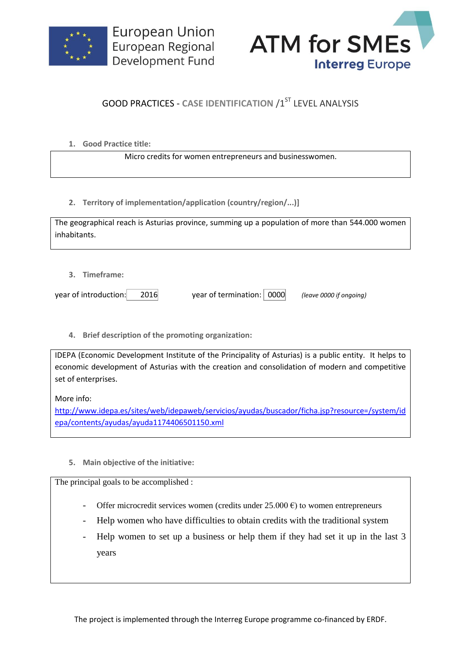



## **GOOD PRACTICES - CASE IDENTIFICATION /1ST LEVEL ANALYSIS**

**1. Good Practice title:**

Micro credits for women entrepreneurs and businesswomen.

**2. Territory of implementation/application (country/region/...)]**

| The geographical reach is Asturias province, summing up a population of more than 544.000 women |  |
|-------------------------------------------------------------------------------------------------|--|
| inhabitants.                                                                                    |  |

**3. Timeframe:**

year of introduction: 2016 year of termination: 0000 *(leave 0000 if ongoing)*

**4. Brief description of the promoting organization:**

IDEPA (Economic Development Institute of the Principality of Asturias) is a public entity. It helps to economic development of Asturias with the creation and consolidation of modern and competitive set of enterprises.

More info:

[http://www.idepa.es/sites/web/idepaweb/servicios/ayudas/buscador/ficha.jsp?resource=/system/id](http://www.idepa.es/sites/web/idepaweb/servicios/ayudas/buscador/ficha.jsp?resource=/system/idepa/contents/ayudas/ayuda1174406501150.xml) [epa/contents/ayudas/ayuda1174406501150.xml](http://www.idepa.es/sites/web/idepaweb/servicios/ayudas/buscador/ficha.jsp?resource=/system/idepa/contents/ayudas/ayuda1174406501150.xml)

**5. Main objective of the initiative:**

The principal goals to be accomplished :

- Offer microcredit services women (credits under  $25.000 \text{ } \epsilon$ ) to women entrepreneurs
- Help women who have difficulties to obtain credits with the traditional system
- Help women to set up a business or help them if they had set it up in the last 3 years